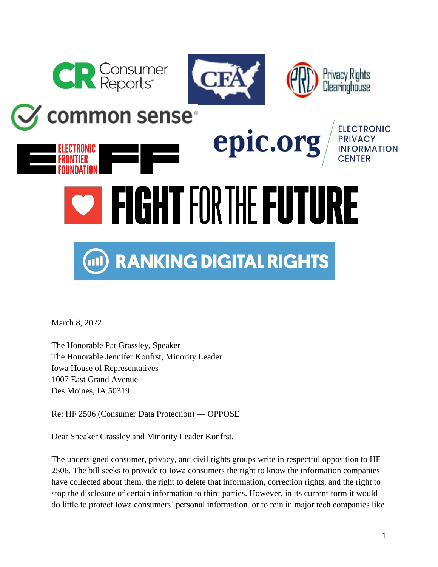

**common sense**®





Privacy Rights Clearinghouse

## epic.or PRIVACY **INFORMATION WEIGHT FOR THE FUTURE**

## **RANKING DIGITAL RIGHTS**  $\Box$

March 8, 2022

The Honorable Pat Grassley, Speaker The Honorable Jennifer Konfrst, Minority Leader Iowa House of Representatives 1007 East Grand Avenue Des Moines, IA 50319

Re: HF 2506 (Consumer Data Protection) — OPPOSE

Dear Speaker Grassley and Minority Leader Konfrst,

The undersigned consumer, privacy, and civil rights groups write in respectful opposition to HF 2506. The bill seeks to provide to Iowa consumers the right to know the information companies have collected about them, the right to delete that information, correction rights, and the right to stop the disclosure of certain information to third parties. However, in its current form it would do little to protect Iowa consumers' personal information, or to rein in major tech companies like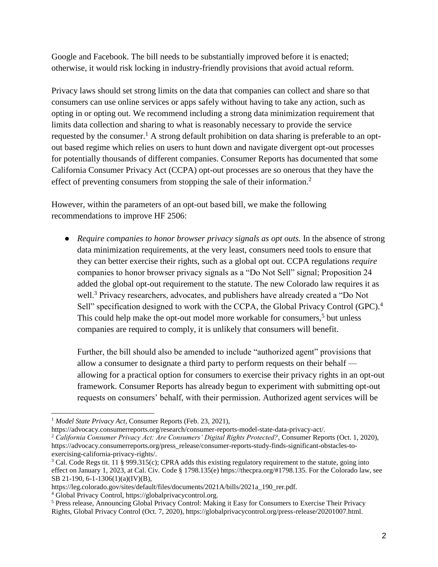Google and Facebook. The bill needs to be substantially improved before it is enacted; otherwise, it would risk locking in industry-friendly provisions that avoid actual reform.

Privacy laws should set strong limits on the data that companies can collect and share so that consumers can use online services or apps safely without having to take any action, such as opting in or opting out. We recommend including a strong data minimization requirement that limits data collection and sharing to what is reasonably necessary to provide the service requested by the consumer.<sup>1</sup> A strong default prohibition on data sharing is preferable to an optout based regime which relies on users to hunt down and navigate divergent opt-out processes for potentially thousands of different companies. Consumer Reports has documented that some California Consumer Privacy Act (CCPA) opt-out processes are so onerous that they have the effect of preventing consumers from stopping the sale of their information.<sup>2</sup>

However, within the parameters of an opt-out based bill, we make the following recommendations to improve HF 2506:

● *Require companies to honor browser privacy signals as opt outs.* In the absence of strong data minimization requirements, at the very least, consumers need tools to ensure that they can better exercise their rights, such as a global opt out. CCPA regulations *require* companies to honor browser privacy signals as a "Do Not Sell" signal; Proposition 24 added the global opt-out requirement to the statute. The new Colorado law requires it as well.<sup>3</sup> Privacy researchers, advocates, and publishers have already created a "Do Not Sell" specification designed to work with the CCPA, the Global Privacy Control (GPC).<sup>4</sup> This could help make the opt-out model more workable for consumers,<sup>5</sup> but unless companies are required to comply, it is unlikely that consumers will benefit.

Further, the bill should also be amended to include "authorized agent" provisions that allow a consumer to designate a third party to perform requests on their behalf allowing for a practical option for consumers to exercise their privacy rights in an opt-out framework. Consumer Reports has already begun to experiment with submitting opt-out requests on consumers' behalf, with their permission. Authorized agent services will be

<sup>1</sup> *Model State Privacy Act*, Consumer Reports (Feb. 23, 2021),

https://advocacy.consumerreports.org/research/consumer-reports-model-state-data-privacy-act/.

<sup>2</sup> *California Consumer Privacy Act: Are Consumers' Digital Rights Protected?*, Consumer Reports (Oct. 1, 2020), https://advocacy.consumerreports.org/press\_release/consumer-reports-study-finds-significant-obstacles-toexercising-california-privacy-rights/.

<sup>&</sup>lt;sup>3</sup> Cal. Code Regs tit. 11 § 999.315(c); CPRA adds this existing regulatory requirement to the statute, going into effect on January 1, 2023, at Cal. Civ. Code § 1798.135(e) https://thecpra.org/#1798.135. For the Colorado law, see SB 21-190, 6-1-1306(1)(a)(IV)(B),

https://leg.colorado.gov/sites/default/files/documents/2021A/bills/2021a\_190\_rer.pdf.

<sup>4</sup> Global Privacy Control, https://globalprivacycontrol.org.

<sup>5</sup> Press release, Announcing Global Privacy Control: Making it Easy for Consumers to Exercise Their Privacy Rights, Global Privacy Control (Oct. 7, 2020), https://globalprivacycontrol.org/press-release/20201007.html.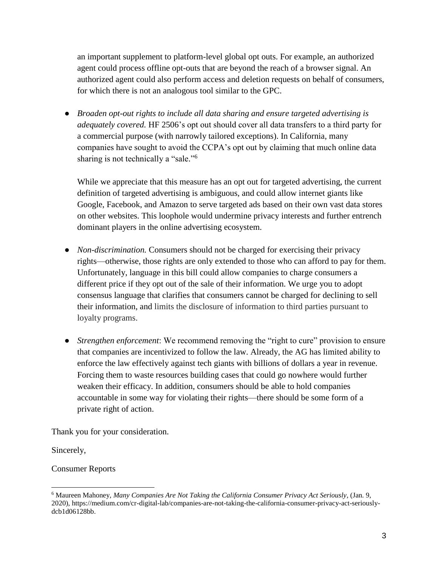an important supplement to platform-level global opt outs. For example, an authorized agent could process offline opt-outs that are beyond the reach of a browser signal. An authorized agent could also perform access and deletion requests on behalf of consumers, for which there is not an analogous tool similar to the GPC.

● *Broaden opt-out rights to include all data sharing and ensure targeted advertising is adequately covered.* HF 2506's opt out should cover all data transfers to a third party for a commercial purpose (with narrowly tailored exceptions). In California, many companies have sought to avoid the CCPA's opt out by claiming that much online data sharing is not technically a "sale."<sup>6</sup>

While we appreciate that this measure has an opt out for targeted advertising, the current definition of targeted advertising is ambiguous, and could allow internet giants like Google, Facebook, and Amazon to serve targeted ads based on their own vast data stores on other websites. This loophole would undermine privacy interests and further entrench dominant players in the online advertising ecosystem.

- *Non-discrimination*. Consumers should not be charged for exercising their privacy rights—otherwise, those rights are only extended to those who can afford to pay for them. Unfortunately, language in this bill could allow companies to charge consumers a different price if they opt out of the sale of their information. We urge you to adopt consensus language that clarifies that consumers cannot be charged for declining to sell their information, and limits the disclosure of information to third parties pursuant to loyalty programs.
- *Strengthen enforcement*: We recommend removing the "right to cure" provision to ensure that companies are incentivized to follow the law. Already, the AG has limited ability to enforce the law effectively against tech giants with billions of dollars a year in revenue. Forcing them to waste resources building cases that could go nowhere would further weaken their efficacy. In addition, consumers should be able to hold companies accountable in some way for violating their rights—there should be some form of a private right of action.

Thank you for your consideration.

Sincerely,

Consumer Reports

<sup>6</sup> Maureen Mahoney, *Many Companies Are Not Taking the California Consumer Privacy Act Seriously,* (Jan. 9, 2020), https://medium.com/cr-digital-lab/companies-are-not-taking-the-california-consumer-privacy-act-seriouslydcb1d06128bb.